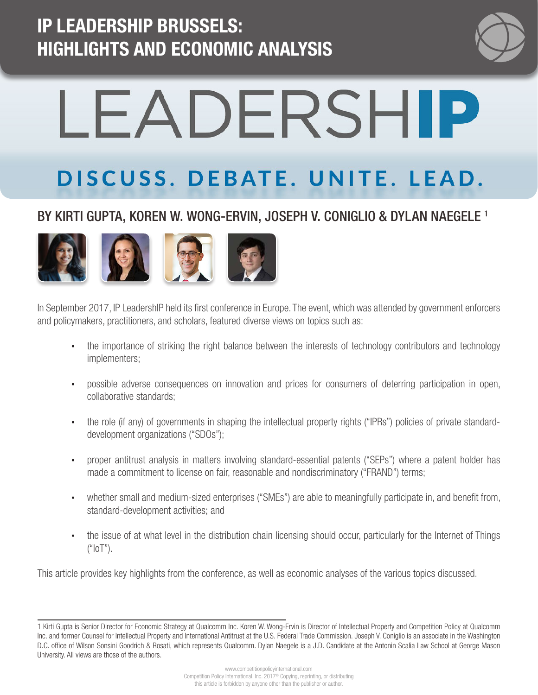### IP LEADERSHIP BRUSSELS: HIGHLIGHTS AND ECONOMIC ANALYSIS



# LEADERSHIP

## DISCUSS. DEBATE. UNITE. LEAD.

#### BY KIRTI GUPTA, KOREN W. WONG-ERVIN, JOSEPH V. CONIGLIO & DYLAN NAEGELE<sup>1</sup>



In September 2017, IP LeadershIP held its first conference in Europe. The event, which was attended by government enforcers and policymakers, practitioners, and scholars, featured diverse views on topics such as:

- the importance of striking the right balance between the interests of technology contributors and technology implementers;
- possible adverse consequences on innovation and prices for consumers of deterring participation in open, collaborative standards;
- the role (if any) of governments in shaping the intellectual property rights ("IPRs") policies of private standarddevelopment organizations ("SDOs");
- proper antitrust analysis in matters involving standard-essential patents ("SEPs") where a patent holder has made a commitment to license on fair, reasonable and nondiscriminatory ("FRAND") terms;
- whether small and medium-sized enterprises ("SMEs") are able to meaningfully participate in, and benefit from, standard-development activities; and
- the issue of at what level in the distribution chain licensing should occur, particularly for the Internet of Things  $("10T").$

This article provides key highlights from the conference, as well as economic analyses of the various topics discussed.

<sup>1</sup> Kirti Gupta is Senior Director for Economic Strategy at Qualcomm Inc. Koren W. Wong-Ervin is Director of Intellectual Property and Competition Policy at Qualcomm Inc. and former Counsel for Intellectual Property and International Antitrust at the U.S. Federal Trade Commission. Joseph V. Coniglio is an associate in the Washington D.C. office of Wilson Sonsini Goodrich & Rosati, which represents Qualcomm. Dylan Naegele is a J.D. Candidate at the Antonin Scalia Law School at George Mason University. All views are those of the authors.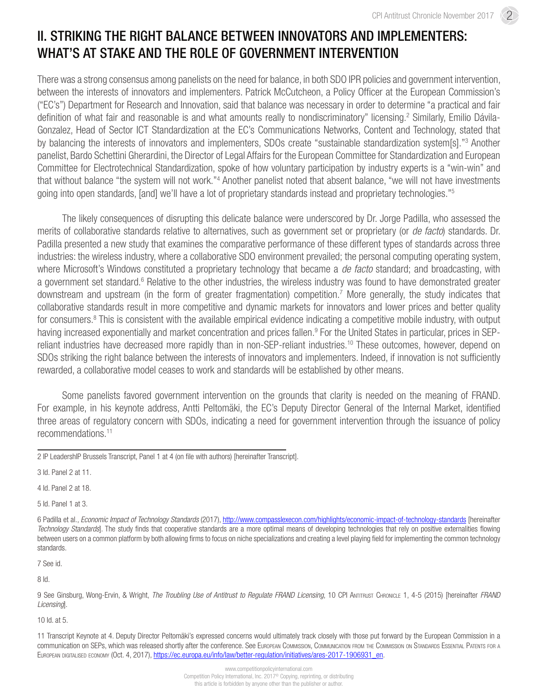#### II. STRIKING THE RIGHT BALANCE BETWEEN INNOVATORS AND IMPLEMENTERS: WHAT'S AT STAKE AND THE ROLE OF GOVERNMENT INTERVENTION

There was a strong consensus among panelists on the need for balance, in both SDO IPR policies and government intervention, between the interests of innovators and implementers. Patrick McCutcheon, a Policy Officer at the European Commission's ("EC's") Department for Research and Innovation, said that balance was necessary in order to determine "a practical and fair definition of what fair and reasonable is and what amounts really to nondiscriminatory" licensing.<sup>2</sup> Similarly, Emilio Dávila-Gonzalez, Head of Sector ICT Standardization at the EC's Communications Networks, Content and Technology, stated that by balancing the interests of innovators and implementers, SDOs create "sustainable standardization system[s]."<sup>3</sup> Another panelist, Bardo Schettini Gherardini, the Director of Legal Affairs for the European Committee for Standardization and European Committee for Electrotechnical Standardization, spoke of how voluntary participation by industry experts is a "win-win" and that without balance "the system will not work."<sup>4</sup> Another panelist noted that absent balance, "we will not have investments going into open standards, [and] we'll have a lot of proprietary standards instead and proprietary technologies."5

The likely consequences of disrupting this delicate balance were underscored by Dr. Jorge Padilla, who assessed the merits of collaborative standards relative to alternatives, such as government set or proprietary (or *de facto*) standards. Dr. Padilla presented a new study that examines the comparative performance of these different types of standards across three industries: the wireless industry, where a collaborative SDO environment prevailed; the personal computing operating system, where Microsoft's Windows constituted a proprietary technology that became a *de facto* standard; and broadcasting, with a government set standard.<sup>6</sup> Relative to the other industries, the wireless industry was found to have demonstrated greater downstream and upstream (in the form of greater fragmentation) competition.<sup>7</sup> More generally, the study indicates that collaborative standards result in more competitive and dynamic markets for innovators and lower prices and better quality for consumers.<sup>8</sup> This is consistent with the available empirical evidence indicating a competitive mobile industry, with output having increased exponentially and market concentration and prices fallen.<sup>9</sup> For the United States in particular, prices in SEPreliant industries have decreased more rapidly than in non-SEP-reliant industries.<sup>10</sup> These outcomes, however, depend on SDOs striking the right balance between the interests of innovators and implementers. Indeed, if innovation is not sufficiently rewarded, a collaborative model ceases to work and standards will be established by other means.

Some panelists favored government intervention on the grounds that clarity is needed on the meaning of FRAND. For example, in his keynote address, Antti Peltomäki, the EC's Deputy Director General of the Internal Market, identified three areas of regulatory concern with SDOs, indicating a need for government intervention through the issuance of policy recommendations.11

4 Id. Panel 2 at 18.

5 Id. Panel 1 at 3.

7 See id.

8 Id.

9 See Ginsburg, Wong-Ervin, & Wright, *The Troubling Use of Antitrust to Regulate FRAND Licensing*, 10 CPI ANTITRUST CHRONICLE 1, 4-5 (2015) [hereinafter *FRAND Licensing*].

10 Id. at 5.

<sup>2</sup> IP LeadershIP Brussels Transcript, Panel 1 at 4 (on file with authors) [hereinafter Transcript].

<sup>3</sup> Id. Panel 2 at 11.

<sup>6</sup> Padilla et al., *Economic Impact of Technology Standards* (2017), http://www.compasslexecon.com/highlights/economic-impact-of-technology-standards [hereinafter *Technology Standards*]. The study finds that cooperative standards are a more optimal means of developing technologies that rely on positive externalities flowing between users on a common platform by both allowing firms to focus on niche specializations and creating a level playing field for implementing the common technology standards.

<sup>11</sup> Transcript Keynote at 4. Deputy Director Peltomäki's expressed concerns would ultimately track closely with those put forward by the European Commission in a communication on SEPs, which was released shortly after the conference. See European Commission, Communication from the Commission on Standards Essential Patents for <sup>a</sup> European digitalised economy (Oct. 4, 2017), [https://ec.europa.eu/info/law/better-regulation/initiatives/ares-2017-1906931\\_en](https://ec.europa.eu/info/law/better-regulation/initiatives/ares-2017-1906931_en).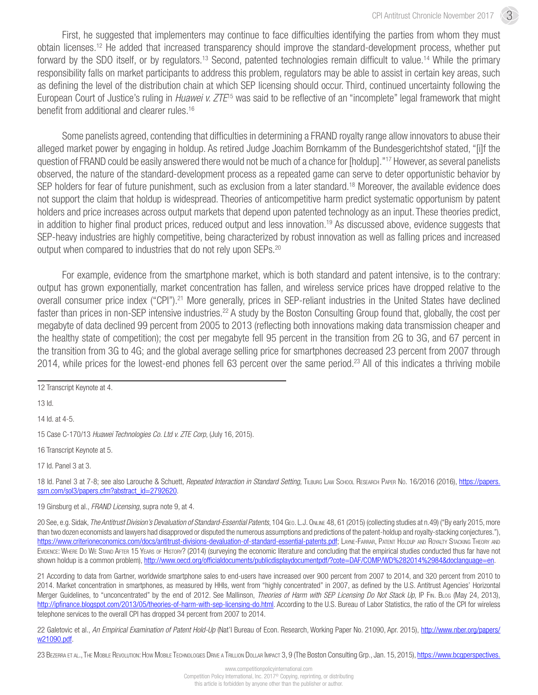First, he suggested that implementers may continue to face difficulties identifying the parties from whom they must obtain licenses.12 He added that increased transparency should improve the standard-development process, whether put forward by the SDO itself, or by regulators.<sup>13</sup> Second, patented technologies remain difficult to value.<sup>14</sup> While the primary responsibility falls on market participants to address this problem, regulators may be able to assist in certain key areas, such as defining the level of the distribution chain at which SEP licensing should occur. Third, continued uncertainty following the European Court of Justice's ruling in *Huawei v. ZTE*15 was said to be reflective of an "incomplete" legal framework that might benefit from additional and clearer rules.16

Some panelists agreed, contending that difficulties in determining a FRAND royalty range allow innovators to abuse their alleged market power by engaging in holdup. As retired Judge Joachim Bornkamm of the Bundesgerichtshof stated, "[i]f the question of FRAND could be easily answered there would not be much of a chance for [holdup]."17 However, as several panelists observed, the nature of the standard-development process as a repeated game can serve to deter opportunistic behavior by SEP holders for fear of future punishment, such as exclusion from a later standard.<sup>18</sup> Moreover, the available evidence does not support the claim that holdup is widespread. Theories of anticompetitive harm predict systematic opportunism by patent holders and price increases across output markets that depend upon patented technology as an input. These theories predict, in addition to higher final product prices, reduced output and less innovation.<sup>19</sup> As discussed above, evidence suggests that SEP-heavy industries are highly competitive, being characterized by robust innovation as well as falling prices and increased output when compared to industries that do not rely upon SEPs.<sup>20</sup>

For example, evidence from the smartphone market, which is both standard and patent intensive, is to the contrary: output has grown exponentially, market concentration has fallen, and wireless service prices have dropped relative to the overall consumer price index ("CPI").21 More generally, prices in SEP-reliant industries in the United States have declined faster than prices in non-SEP intensive industries.<sup>22</sup> A study by the Boston Consulting Group found that, globally, the cost per megabyte of data declined 99 percent from 2005 to 2013 (reflecting both innovations making data transmission cheaper and the healthy state of competition); the cost per megabyte fell 95 percent in the transition from 2G to 3G, and 67 percent in the transition from 3G to 4G; and the global average selling price for smartphones decreased 23 percent from 2007 through 2014, while prices for the lowest-end phones fell 63 percent over the same period.<sup>23</sup> All of this indicates a thriving mobile

12 Transcript Keynote at 4.

13 Id.

14 Id. at 4-5.

15 Case C-170/13 *Huawei Technologies Co. Ltd v. ZTE Corp*, (July 16, 2015).

16 Transcript Keynote at 5.

17 Id. Panel 3 at 3.

18 Id. Panel 3 at 7-8; see also Larouche & Schuett, *Repeated Interaction in Standard Setting*, Tilburg Law School Research Paper No. 16/2016 (2016), [https://papers.](https://papers.ssrn.com/sol3/papers.cfm?abstract_id=2792620) [ssrn.com/sol3/papers.cfm?abstract\\_id=2792620](https://papers.ssrn.com/sol3/papers.cfm?abstract_id=2792620).

19 Ginsburg et al., *FRAND Licensing*, supra note 9, at 4.

20 See, e.g. Sidak, *The Antitrust Division's Devaluation of Standard-Essential Patents*, 104 Geo. L.J. Online 48, 61 (2015) (collecting studies at n.49) ("By early 2015, more than two dozen economists and lawyers had disapproved or disputed the numerous assumptions and predictions of the patent-holdup and royalty-stacking conjectures."), [https://www.criterioneconomics.com/docs/antitrust-divisions-devaluation-of-standard-essential-patents.pdf;](https://www.criterioneconomics.com/docs/antitrust-divisions-devaluation-of-standard-essential-patents.pdf) LAYNE-FARRAR, PATENT HOLDUP AND ROYALTY STACKING THEORY AND Evidence: Where Do We Stand After 15 Years of History? (2014) (surveying the economic literature and concluding that the empirical studies conducted thus far have not shown holdup is a common problem), [http://www.oecd.org/officialdocuments/publicdisplaydocumentpdf/?cote=DAF/COMP/WD%282014%2984&doclanguage=en.](http://www.oecd.org/officialdocuments/publicdisplaydocumentpdf/?cote=DAF/COMP/WD%282014%2984&doclanguage=en)

21 According to data from Gartner, worldwide smartphone sales to end-users have increased over 900 percent from 2007 to 2014, and 320 percent from 2010 to 2014. Market concentration in smartphones, as measured by HHIs, went from "highly concentrated" in 2007, as defined by the U.S. Antitrust Agencies' Horizontal Merger Guidelines, to "unconcentrated" by the end of 2012. See Mallinson, *Theories of Harm with SEP Licensing Do Not Stack Up*, IP Fin. Blog (May 24, 2013), <http://ipfinance.blogspot.com/2013/05/theories-of-harm-with-sep-licensing-do.html>. According to the U.S. Bureau of Labor Statistics, the ratio of the CPI for wireless telephone services to the overall CPI has dropped 34 percent from 2007 to 2014.

22 Galetovic et al., *An Empirical Examination of Patent Hold-Up* (Nat'l Bureau of Econ. Research, Working Paper No. 21090, Apr. 2015), [http://www.nber.org/papers/](http://www.nber.org/papers/w21090.pdf) [w21090.pdf.](http://www.nber.org/papers/w21090.pdf)

23 BEZERRA ET AL., THE MOBILE REVOLUTION: HOW MOBILE TECHNOLOGIES DRIVE A TRILLION DOLLAR IMPACT 3, 9 (The Boston Consulting Grp., Jan. 15, 2015), https://www.bcqperspectives.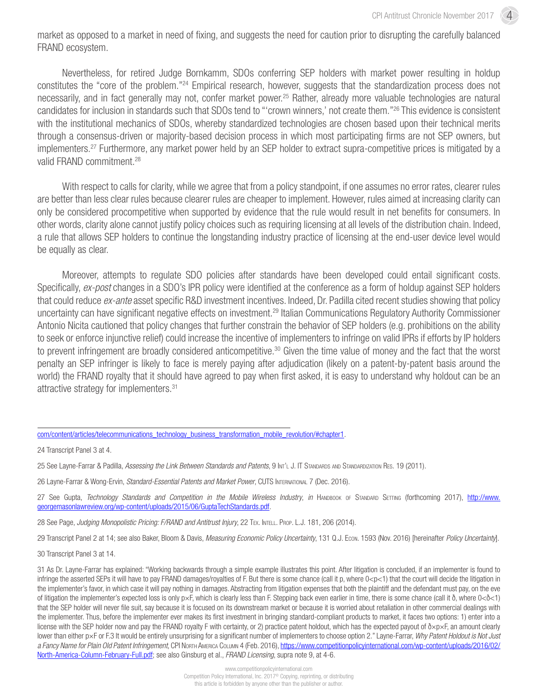market as opposed to a market in need of fixing, and suggests the need for caution prior to disrupting the carefully balanced FRAND ecosystem.

Nevertheless, for retired Judge Bornkamm, SDOs conferring SEP holders with market power resulting in holdup constitutes the "core of the problem."24 Empirical research, however, suggests that the standardization process does not necessarily, and in fact generally may not, confer market power.<sup>25</sup> Rather, already more valuable technologies are natural candidates for inclusion in standards such that SDOs tend to "'crown winners,' not create them."26 This evidence is consistent with the institutional mechanics of SDOs, whereby standardized technologies are chosen based upon their technical merits through a consensus-driven or majority-based decision process in which most participating firms are not SEP owners, but implementers.27 Furthermore, any market power held by an SEP holder to extract supra-competitive prices is mitigated by a valid FRAND commitment.<sup>28</sup>

With respect to calls for clarity, while we agree that from a policy standpoint, if one assumes no error rates, clearer rules are better than less clear rules because clearer rules are cheaper to implement. However, rules aimed at increasing clarity can only be considered procompetitive when supported by evidence that the rule would result in net benefits for consumers. In other words, clarity alone cannot justify policy choices such as requiring licensing at all levels of the distribution chain. Indeed, a rule that allows SEP holders to continue the longstanding industry practice of licensing at the end-user device level would be equally as clear.

Moreover, attempts to regulate SDO policies after standards have been developed could entail significant costs. Specifically, *ex-post* changes in a SDO's IPR policy were identified at the conference as a form of holdup against SEP holders that could reduce *ex-ante* asset specific R&D investment incentives. Indeed, Dr. Padilla cited recent studies showing that policy uncertainty can have significant negative effects on investment.29 Italian Communications Regulatory Authority Commissioner Antonio Nicita cautioned that policy changes that further constrain the behavior of SEP holders (e.g. prohibitions on the ability to seek or enforce injunctive relief) could increase the incentive of implementers to infringe on valid IPRs if efforts by IP holders to prevent infringement are broadly considered anticompetitive.<sup>30</sup> Given the time value of money and the fact that the worst penalty an SEP infringer is likely to face is merely paying after adjudication (likely on a patent-by-patent basis around the world) the FRAND royalty that it should have agreed to pay when first asked, it is easy to understand why holdout can be an attractive strategy for implementers.31

28 See Page, *Judging Monopolistic Pricing: F/RAND and Antitrust Injury*, 22 Tex. Intell. Prop. L.J. 181, 206 (2014).

29 Transcript Panel 2 at 14; see also Baker, Bloom & Davis, *Measuring Economic Policy Uncertainty*, 131 Q.J. Econ. 1593 (Nov. 2016) [hereinafter *Policy Uncertainty*].

30 Transcript Panel 3 at 14.

[com/content/articles/telecommunications\\_technology\\_business\\_transformation\\_mobile\\_revolution/#chapter1.](https://www.bcgperspectives.com/content/articles/telecommunications_technology_business_transformation_mobile_revolution/#chapter1)

<sup>24</sup> Transcript Panel 3 at 4.

<sup>25</sup> See Layne-Farrar & Padilla, *Assessing the Link Between Standards and Patents*, 9 Int'l J. IT Standards and Standardization Res. 19 (2011).

<sup>26</sup> Layne-Farrar & Wong-Ervin, *Standard-Essential Patents and Market Power*, CUTS International 7 (Dec. 2016).

<sup>27</sup> See Gupta, *Technology Standards and Competition in the Mobile Wireless Industry, in* HANDBOOK OF STANDARD SETTING (forthcoming 2017), [http://www.](http://www.georgemasonlawreview.org/wp-content/uploads/2015/06/GuptaTechStandards.pdf) [georgemasonlawreview.org/wp-content/uploads/2015/06/GuptaTechStandards.pdf.](http://www.georgemasonlawreview.org/wp-content/uploads/2015/06/GuptaTechStandards.pdf)

<sup>31</sup> As Dr. Layne-Farrar has explained: "Working backwards through a simple example illustrates this point. After litigation is concluded, if an implementer is found to infringe the asserted SEPs it will have to pay FRAND damages/royalties of F. But there is some chance (call it p, where 0<p<1) that the court will decide the litigation in the implementer's favor, in which case it will pay nothing in damages. Abstracting from litigation expenses that both the plaintiff and the defendant must pay, on the eve of litigation the implementer's expected loss is only p×F, which is clearly less than F. Stepping back even earlier in time, there is some chance (call it  $\delta$ , where  $0<\delta<1$ ) that the SEP holder will never file suit, say because it is focused on its downstream market or because it is worried about retaliation in other commercial dealings with the implementer. Thus, before the implementer ever makes its first investment in bringing standard-compliant products to market, it faces two options: 1) enter into a license with the SEP holder now and pay the FRAND royalty F with certainty, or 2) practice patent holdout, which has the expected payout of  $\text{Xp} \times F$ , an amount clearly lower than either p×F or F.3 It would be entirely unsurprising for a significant number of implementers to choose option 2." Layne-Farrar, *Why Patent Holdout is Not Just a Fancy Name for Plain Old Patent Infringement*, CPI North America Column 4 (Feb. 2016), [https://www.competitionpolicyinternational.com/wp-content/uploads/2016/02/](https://www.competitionpolicyinternational.com/wp-content/uploads/2016/02/North-America-Column-February-Full.pdf) [North-America-Column-February-Full.pdf;](https://www.competitionpolicyinternational.com/wp-content/uploads/2016/02/North-America-Column-February-Full.pdf) see also Ginsburg et al., *FRAND Licensing*, supra note 9, at 4-6.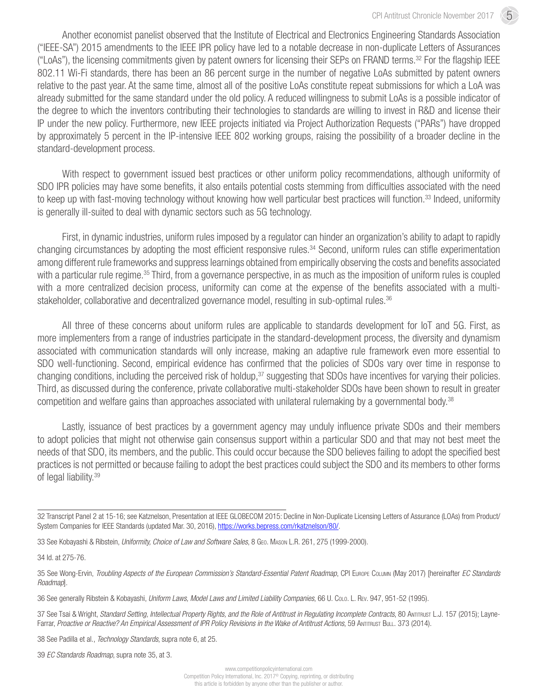Another economist panelist observed that the Institute of Electrical and Electronics Engineering Standards Association ("IEEE-SA") 2015 amendments to the IEEE IPR policy have led to a notable decrease in non-duplicate Letters of Assurances ("LoAs"), the licensing commitments given by patent owners for licensing their SEPs on FRAND terms.32 For the flagship IEEE 802.11 Wi-Fi standards, there has been an 86 percent surge in the number of negative LoAs submitted by patent owners relative to the past year. At the same time, almost all of the positive LoAs constitute repeat submissions for which a LoA was already submitted for the same standard under the old policy. A reduced willingness to submit LoAs is a possible indicator of the degree to which the inventors contributing their technologies to standards are willing to invest in R&D and license their IP under the new policy. Furthermore, new IEEE projects initiated via Project Authorization Requests ("PARs") have dropped by approximately 5 percent in the IP-intensive IEEE 802 working groups, raising the possibility of a broader decline in the standard-development process.

With respect to government issued best practices or other uniform policy recommendations, although uniformity of SDO IPR policies may have some benefits, it also entails potential costs stemming from difficulties associated with the need to keep up with fast-moving technology without knowing how well particular best practices will function.<sup>33</sup> Indeed, uniformity is generally ill-suited to deal with dynamic sectors such as 5G technology.

First, in dynamic industries, uniform rules imposed by a regulator can hinder an organization's ability to adapt to rapidly changing circumstances by adopting the most efficient responsive rules.34 Second, uniform rules can stifle experimentation among different rule frameworks and suppress learnings obtained from empirically observing the costs and benefits associated with a particular rule regime.<sup>35</sup> Third, from a governance perspective, in as much as the imposition of uniform rules is coupled with a more centralized decision process, uniformity can come at the expense of the benefits associated with a multistakeholder, collaborative and decentralized governance model, resulting in sub-optimal rules.<sup>36</sup>

All three of these concerns about uniform rules are applicable to standards development for IoT and 5G. First, as more implementers from a range of industries participate in the standard-development process, the diversity and dynamism associated with communication standards will only increase, making an adaptive rule framework even more essential to SDO well-functioning. Second, empirical evidence has confirmed that the policies of SDOs vary over time in response to changing conditions, including the perceived risk of holdup,<sup>37</sup> suggesting that SDOs have incentives for varying their policies. Third, as discussed during the conference, private collaborative multi-stakeholder SDOs have been shown to result in greater competition and welfare gains than approaches associated with unilateral rulemaking by a governmental body.38

Lastly, issuance of best practices by a government agency may unduly influence private SDOs and their members to adopt policies that might not otherwise gain consensus support within a particular SDO and that may not best meet the needs of that SDO, its members, and the public. This could occur because the SDO believes failing to adopt the specified best practices is not permitted or because failing to adopt the best practices could subject the SDO and its members to other forms of legal liability.<sup>39</sup>

34 Id. at 275-76.

35 See Wong-Ervin, *Troubling Aspects of the European Commission's Standard-Essential Patent Roadmap*, CPI Europe Column (May 2017) [hereinafter *EC Standards Roadmap*].

36 See generally Ribstein & Kobayashi, *Uniform Laws, Model Laws and Limited Liability Companies*, 66 U. Colo. L. Rev. 947, 951-52 (1995).

37 See Tsai & Wright, *Standard Setting, Intellectual Property Rights, and the Role of Antitrust in Regulating Incomplete Contracts, 80 AnTITRUST L.J. 157 (2015); Layne-*Farrar, Proactive or Reactive? An Empirical Assessment of IPR Policy Revisions in the Wake of Antitrust Actions, 59 ANTITRUST BULL. 373 (2014).

38 See Padilla et al., *Technology Standards*, supra note 6, at 25.

39 *EC Standards Roadmap*, supra note 35, at 3.

<sup>32</sup> Transcript Panel 2 at 15-16; see Katznelson, Presentation at IEEE GLOBECOM 2015: Decline in Non-Duplicate Licensing Letters of Assurance (LOAs) from Product/ System Companies for IEEE Standards (updated Mar. 30, 2016),<https://works.bepress.com/rkatznelson/80/>.

<sup>33</sup> See Kobayashi & Ribstein, *Uniformity, Choice of Law and Software Sales*, 8 Geo. Mason L.R. 261, 275 (1999-2000).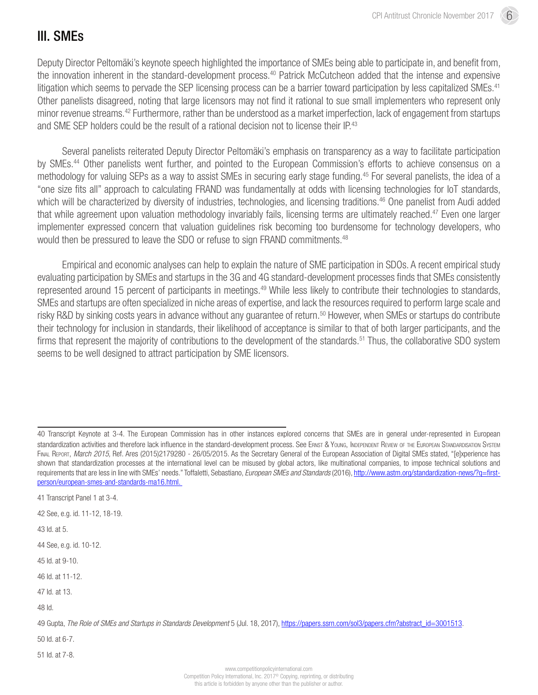#### III. SMEs

Deputy Director Peltomäki's keynote speech highlighted the importance of SMEs being able to participate in, and benefit from, the innovation inherent in the standard-development process.<sup>40</sup> Patrick McCutcheon added that the intense and expensive litigation which seems to pervade the SEP licensing process can be a barrier toward participation by less capitalized SMEs.<sup>41</sup> Other panelists disagreed, noting that large licensors may not find it rational to sue small implementers who represent only minor revenue streams.42 Furthermore, rather than be understood as a market imperfection, lack of engagement from startups and SME SEP holders could be the result of a rational decision not to license their IP.<sup>43</sup>

Several panelists reiterated Deputy Director Peltomäki's emphasis on transparency as a way to facilitate participation by SMEs.44 Other panelists went further, and pointed to the European Commission's efforts to achieve consensus on a methodology for valuing SEPs as a way to assist SMEs in securing early stage funding.45 For several panelists, the idea of a "one size fits all" approach to calculating FRAND was fundamentally at odds with licensing technologies for IoT standards, which will be characterized by diversity of industries, technologies, and licensing traditions.<sup>46</sup> One panelist from Audi added that while agreement upon valuation methodology invariably fails, licensing terms are ultimately reached.<sup>47</sup> Even one larger implementer expressed concern that valuation guidelines risk becoming too burdensome for technology developers, who would then be pressured to leave the SDO or refuse to sign FRAND commitments.<sup>48</sup>

Empirical and economic analyses can help to explain the nature of SME participation in SDOs. A recent empirical study evaluating participation by SMEs and startups in the 3G and 4G standard-development processes finds that SMEs consistently represented around 15 percent of participants in meetings.<sup>49</sup> While less likely to contribute their technologies to standards, SMEs and startups are often specialized in niche areas of expertise, and lack the resources required to perform large scale and risky R&D by sinking costs years in advance without any guarantee of return.<sup>50</sup> However, when SMEs or startups do contribute their technology for inclusion in standards, their likelihood of acceptance is similar to that of both larger participants, and the firms that represent the majority of contributions to the development of the standards.<sup>51</sup> Thus, the collaborative SDO system seems to be well designed to attract participation by SME licensors.

41 Transcript Panel 1 at 3-4.

42 See, e.g. id. 11-12, 18-19.

43 Id. at 5.

44 See, e.g. id. 10-12.

45 Id. at 9-10.

46 Id. at 11-12.

47 Id. at 13.

48 Id.

50 Id. at 6-7.

51 Id. at 7-8.

<sup>40</sup> Transcript Keynote at 3-4. The European Commission has in other instances explored concerns that SMEs are in general under-represented in European standardization activities and therefore lack influence in the standard-development process. See ERNST & YOUNG, INDEPENDENT REVIEW OF THE EUROPEAN STANDARDISATION SYSTEM Final Report, *March 2015,* Ref. Ares (2015)2179280 - 26/05/2015. As the Secretary General of the European Association of Digital SMEs stated, "[e]xperience has shown that standardization processes at the international level can be misused by global actors, like multinational companies, to impose technical solutions and requirements that are less in line with SMEs' needs." Toffaletti, Sebastiano, *European SMEs and Standards* (2016), [http://www.astm.org/standardization-news/?q=first](http://www.astm.org/standardization-news/?q=first-person/european-smes-and-standards-ma16.html)[person/european-smes-and-standards-ma16.html](http://www.astm.org/standardization-news/?q=first-person/european-smes-and-standards-ma16.html).

<sup>49</sup> Gupta, *The Role of SMEs and Startups in Standards Development* 5 (Jul. 18, 2017), [https://papers.ssrn.com/sol3/papers.cfm?abstract\\_id=3001513](https://papers.ssrn.com/sol3/papers.cfm?abstract_id=3001513).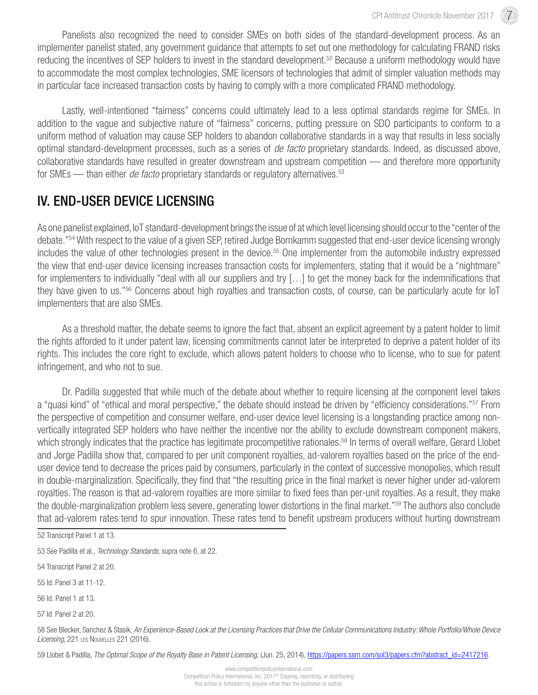Panelists also recognized the need to consider SMEs on both sides of the standard-development process. As an implementer panelist stated, any government guidance that attempts to set out one methodology for calculating FRAND risks reducing the incentives of SEP holders to invest in the standard development.<sup>52</sup> Because a uniform methodology would have to accommodate the most complex technologies, SME licensors of technologies that admit of simpler valuation methods may in particular face increased transaction costs by having to comply with a more complicated FRAND methodology.

Lastly, well-intentioned "fairness" concerns could ultimately lead to a less optimal standards regime for SMEs. In addition to the vague and subjective nature of "fairness" concerns, putting pressure on SDO participants to conform to a uniform method of valuation may cause SEP holders to abandon collaborative standards in a way that results in less socially optimal standard-development processes, such as a series of *de facto* proprietary standards. Indeed, as discussed above, collaborative standards have resulted in greater downstream and upstream competition — and therefore more opportunity for SMEs — than either *de facto* proprietary standards or regulatory alternatives.<sup>53</sup>

#### IV. END-USER DEVICE LICENSING

As one panelist explained, IoT standard-development brings the issue of at which level licensing should occur to the "center of the debate."54 With respect to the value of a given SEP, retired Judge Bornkamm suggested that end-user device licensing wrongly includes the value of other technologies present in the device.<sup>55</sup> One implementer from the automobile industry expressed the view that end-user device licensing increases transaction costs for implementers, stating that it would be a "nightmare" for implementers to individually "deal with all our suppliers and try […] to get the money back for the indemnifications that they have given to us."56 Concerns about high royalties and transaction costs, of course, can be particularly acute for IoT implementers that are also SMEs.

As a threshold matter, the debate seems to ignore the fact that, absent an explicit agreement by a patent holder to limit the rights afforded to it under patent law, licensing commitments cannot later be interpreted to deprive a patent holder of its rights. This includes the core right to exclude, which allows patent holders to choose who to license, who to sue for patent infringement, and who not to sue.

Dr. Padilla suggested that while much of the debate about whether to require licensing at the component level takes a "quasi kind" of "ethical and moral perspective," the debate should instead be driven by "efficiency considerations."57 From the perspective of competition and consumer welfare, end-user device level licensing is a longstanding practice among nonvertically integrated SEP holders who have neither the incentive nor the ability to exclude downstream component makers, which strongly indicates that the practice has legitimate procompetitive rationales.<sup>58</sup> In terms of overall welfare, Gerard Llobet and Jorge Padilla show that, compared to per unit component royalties, ad-valorem royalties based on the price of the enduser device tend to decrease the prices paid by consumers, particularly in the context of successive monopolies, which result in double-marginalization. Specifically, they find that "the resulting price in the final market is never higher under ad-valorem royalties. The reason is that ad-valorem royalties are more similar to fixed fees than per-unit royalties. As a result, they make the double-marginalization problem less severe, generating lower distortions in the final market."59 The authors also conclude that ad-valorem rates tend to spur innovation. These rates tend to benefit upstream producers without hurting downstream

54 Transcript Panel 2 at 20.

55 Id. Panel 3 at 11-12.

56 Id. Panel 1 at 13.

57 Id. Panel 2 at 20.

58 See Blecker, Sanchez & Stasik, *An Experience-Based Look at the Licensing Practices that Drive the Cellular Communications Industry: Whole Portfolio/Whole Device Licensing*, 221 les Nouvelles 221 (2016).

59 Llobet & Padilla, The Optimal Scope of the Royalty Base in Patent Licensing, (Jun. 25, 2014), [https://papers.ssrn.com/sol3/papers.cfm?abstract\\_id=2417216.](https://papers.ssrn.com/sol3/papers.cfm?abstract_id=2417216)

<sup>52</sup> Transcript Panel 1 at 13.

<sup>53</sup> See Padilla et al., *Technology Standards*, supra note 6, at 22.